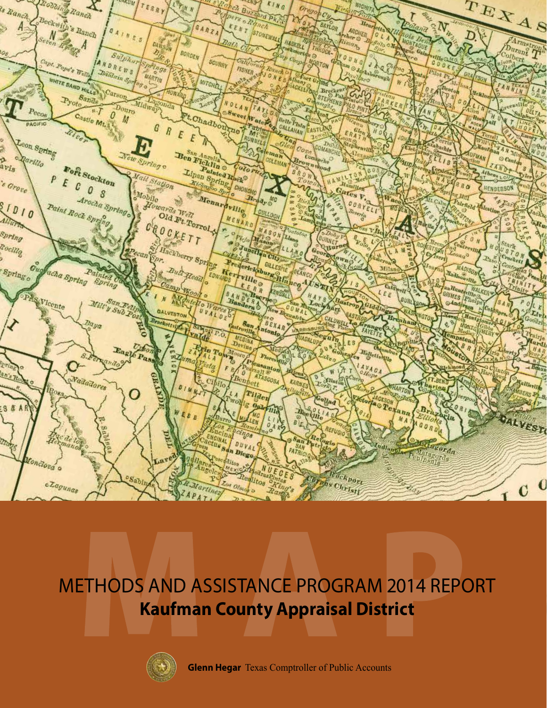

## METHODS AND ASSISTANCE PROGRAM 2014 REPORT **Kaufman County Appraisal District**



**Glenn Hegar** Texas Comptroller of Public Accounts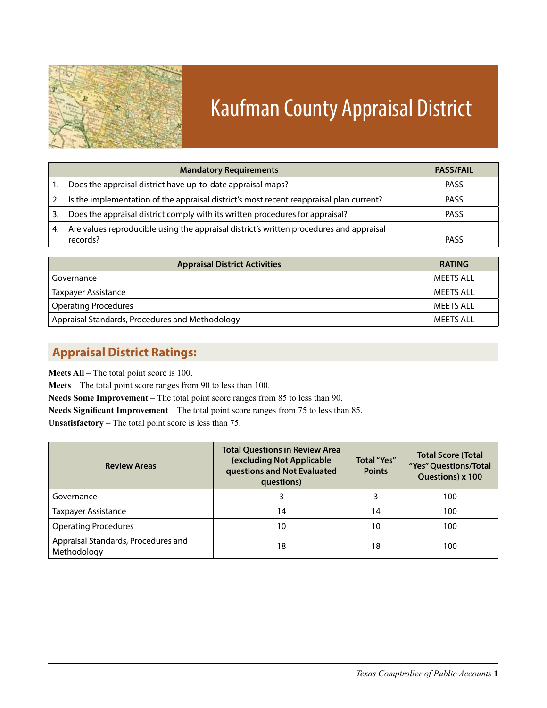

# Kaufman County Appraisal District

|    | <b>Mandatory Requirements</b>                                                           | <b>PASS/FAIL</b> |
|----|-----------------------------------------------------------------------------------------|------------------|
|    | Does the appraisal district have up-to-date appraisal maps?                             | <b>PASS</b>      |
| 2. | Is the implementation of the appraisal district's most recent reappraisal plan current? | <b>PASS</b>      |
| 3. | Does the appraisal district comply with its written procedures for appraisal?           | <b>PASS</b>      |
| 4. | Are values reproducible using the appraisal district's written procedures and appraisal |                  |
|    | records?                                                                                | <b>PASS</b>      |

| <b>Appraisal District Activities</b>            | <b>RATING</b> |
|-------------------------------------------------|---------------|
| Governance                                      | MFFTS ALL     |
| <b>Taxpayer Assistance</b>                      | MEETS ALL     |
| <b>Operating Procedures</b>                     | MEETS ALL     |
| Appraisal Standards, Procedures and Methodology | MEETS ALL     |

### **Appraisal District Ratings:**

**Meets All** – The total point score is 100.

**Meets** – The total point score ranges from 90 to less than 100.

**Needs Some Improvement** – The total point score ranges from 85 to less than 90.

**Needs Significant Improvement** – The total point score ranges from 75 to less than 85.

**Unsatisfactory** – The total point score is less than 75.

| <b>Review Areas</b>                                | <b>Total Questions in Review Area</b><br>(excluding Not Applicable<br>questions and Not Evaluated<br>questions) | <b>Total</b> "Yes"<br><b>Points</b> | <b>Total Score (Total</b><br>"Yes" Questions/Total<br>Questions) x 100 |  |
|----------------------------------------------------|-----------------------------------------------------------------------------------------------------------------|-------------------------------------|------------------------------------------------------------------------|--|
| Governance                                         | 3                                                                                                               |                                     | 100                                                                    |  |
| Taxpayer Assistance                                | 14                                                                                                              | 14                                  | 100                                                                    |  |
| <b>Operating Procedures</b>                        | 10                                                                                                              | 10                                  | 100                                                                    |  |
| Appraisal Standards, Procedures and<br>Methodology | 18                                                                                                              | 18                                  | 100                                                                    |  |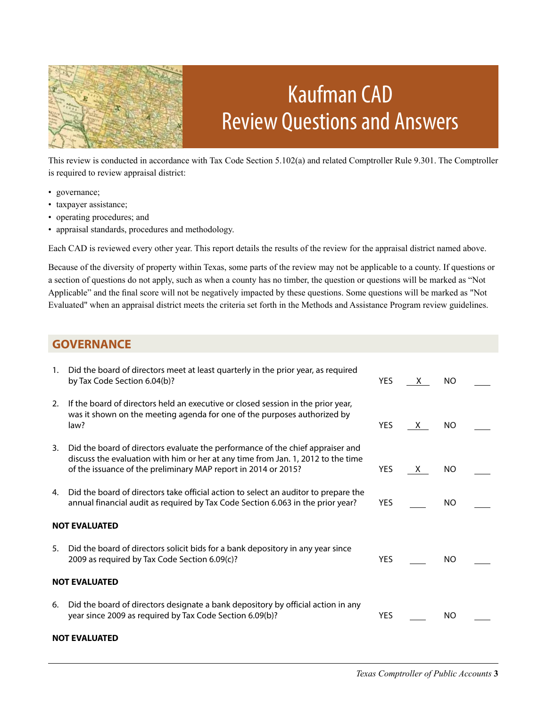

## Kaufman CAD Review Questions and Answers

This review is conducted in accordance with Tax Code Section 5.102(a) and related Comptroller Rule 9.301. The Comptroller is required to review appraisal district:

- governance;
- taxpayer assistance;
- operating procedures; and
- appraisal standards, procedures and methodology.

Each CAD is reviewed every other year. This report details the results of the review for the appraisal district named above.

Because of the diversity of property within Texas, some parts of the review may not be applicable to a county. If questions or a section of questions do not apply, such as when a county has no timber, the question or questions will be marked as "Not Applicable" and the final score will not be negatively impacted by these questions. Some questions will be marked as "Not Evaluated" when an appraisal district meets the criteria set forth in the Methods and Assistance Program review guidelines.

#### **GOVERNANCE**

| 1.                   | Did the board of directors meet at least quarterly in the prior year, as required<br>by Tax Code Section 6.04(b)?                                                                                                                    | <b>YES</b> | X. | NO.       |  |
|----------------------|--------------------------------------------------------------------------------------------------------------------------------------------------------------------------------------------------------------------------------------|------------|----|-----------|--|
| 2.                   | If the board of directors held an executive or closed session in the prior year,<br>was it shown on the meeting agenda for one of the purposes authorized by<br>law?                                                                 | <b>YES</b> | X. | NO.       |  |
| 3.                   | Did the board of directors evaluate the performance of the chief appraiser and<br>discuss the evaluation with him or her at any time from Jan. 1, 2012 to the time<br>of the issuance of the preliminary MAP report in 2014 or 2015? | <b>YES</b> | X. | NO.       |  |
| 4.                   | Did the board of directors take official action to select an auditor to prepare the<br>annual financial audit as required by Tax Code Section 6.063 in the prior year?                                                               | <b>YES</b> |    | <b>NO</b> |  |
| <b>NOT EVALUATED</b> |                                                                                                                                                                                                                                      |            |    |           |  |
| 5.                   | Did the board of directors solicit bids for a bank depository in any year since<br>2009 as required by Tax Code Section 6.09(c)?                                                                                                     | <b>YES</b> |    | NO.       |  |
| <b>NOT EVALUATED</b> |                                                                                                                                                                                                                                      |            |    |           |  |
| 6.                   | Did the board of directors designate a bank depository by official action in any<br>year since 2009 as required by Tax Code Section 6.09(b)?                                                                                         | <b>YES</b> |    | NO.       |  |
| <b>NOT EVALUATED</b> |                                                                                                                                                                                                                                      |            |    |           |  |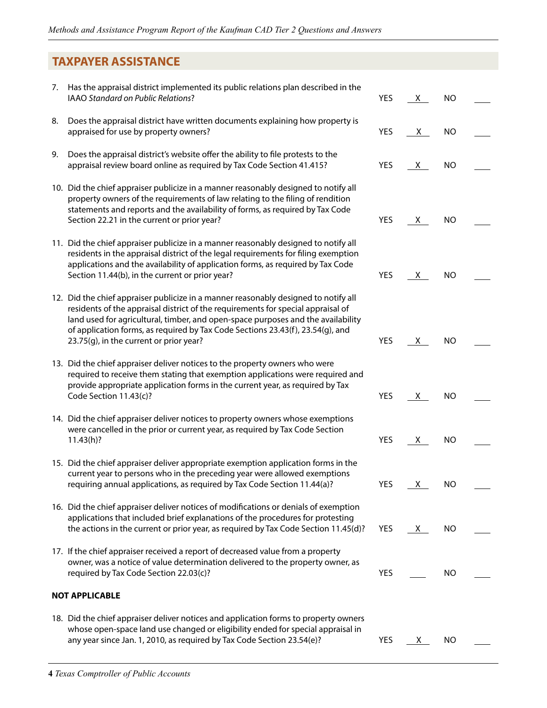### **TAXPAYER ASSISTANCE**

| 7. | Has the appraisal district implemented its public relations plan described in the<br>IAAO Standard on Public Relations?                                                                                                                                                                                                                                                                  | <b>YES</b> | <u>X</u> | <b>NO</b> |  |
|----|------------------------------------------------------------------------------------------------------------------------------------------------------------------------------------------------------------------------------------------------------------------------------------------------------------------------------------------------------------------------------------------|------------|----------|-----------|--|
| 8. | Does the appraisal district have written documents explaining how property is<br>appraised for use by property owners?                                                                                                                                                                                                                                                                   | YES        | X.       | <b>NO</b> |  |
| 9. | Does the appraisal district's website offer the ability to file protests to the<br>appraisal review board online as required by Tax Code Section 41.415?                                                                                                                                                                                                                                 | <b>YES</b> | X        | <b>NO</b> |  |
|    | 10. Did the chief appraiser publicize in a manner reasonably designed to notify all<br>property owners of the requirements of law relating to the filing of rendition<br>statements and reports and the availability of forms, as required by Tax Code<br>Section 22.21 in the current or prior year?                                                                                    | <b>YES</b> | X.       | NO        |  |
|    | 11. Did the chief appraiser publicize in a manner reasonably designed to notify all<br>residents in the appraisal district of the legal requirements for filing exemption<br>applications and the availability of application forms, as required by Tax Code<br>Section 11.44(b), in the current or prior year?                                                                          | YES        | X.       | NO        |  |
|    | 12. Did the chief appraiser publicize in a manner reasonably designed to notify all<br>residents of the appraisal district of the requirements for special appraisal of<br>land used for agricultural, timber, and open-space purposes and the availability<br>of application forms, as required by Tax Code Sections 23.43(f), 23.54(g), and<br>23.75(g), in the current or prior year? | <b>YES</b> | X.       | NO        |  |
|    | 13. Did the chief appraiser deliver notices to the property owners who were<br>required to receive them stating that exemption applications were required and<br>provide appropriate application forms in the current year, as required by Tax<br>Code Section 11.43(c)?                                                                                                                 | YES        | X        | NO.       |  |
|    | 14. Did the chief appraiser deliver notices to property owners whose exemptions<br>were cancelled in the prior or current year, as required by Tax Code Section<br>11.43(h)?                                                                                                                                                                                                             | <b>YES</b> | <u>X</u> | <b>NO</b> |  |
|    | 15. Did the chief appraiser deliver appropriate exemption application forms in the<br>current year to persons who in the preceding year were allowed exemptions<br>requiring annual applications, as required by Tax Code Section 11.44(a)?                                                                                                                                              | YES        | $X_{-}$  | <b>NO</b> |  |
|    | 16. Did the chief appraiser deliver notices of modifications or denials of exemption<br>applications that included brief explanations of the procedures for protesting<br>the actions in the current or prior year, as required by Tax Code Section 11.45(d)?                                                                                                                            | YES        | X.       | NO        |  |
|    | 17. If the chief appraiser received a report of decreased value from a property<br>owner, was a notice of value determination delivered to the property owner, as<br>required by Tax Code Section 22.03(c)?                                                                                                                                                                              | <b>YES</b> |          | <b>NO</b> |  |
|    | <b>NOT APPLICABLE</b>                                                                                                                                                                                                                                                                                                                                                                    |            |          |           |  |
|    | 18. Did the chief appraiser deliver notices and application forms to property owners<br>whose open-space land use changed or eligibility ended for special appraisal in<br>any year since Jan. 1, 2010, as required by Tax Code Section 23.54(e)?                                                                                                                                        | <b>YES</b> | X.       | NO.       |  |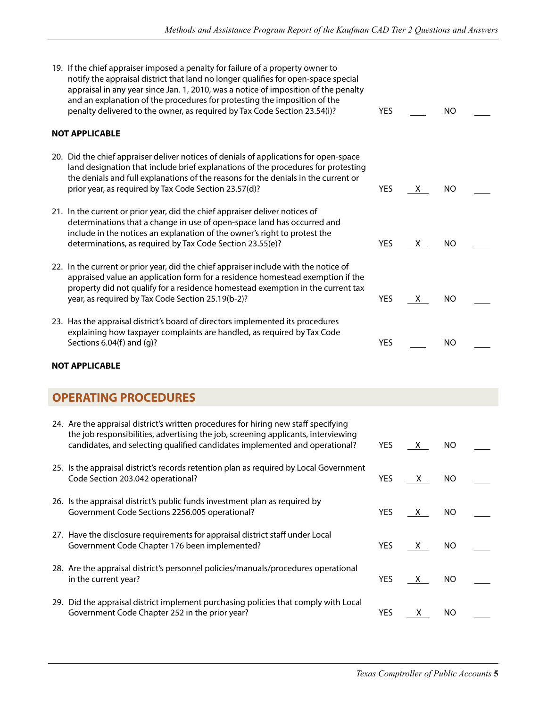| 19. If the chief appraiser imposed a penalty for failure of a property owner to<br>notify the appraisal district that land no longer qualifies for open-space special<br>appraisal in any year since Jan. 1, 2010, was a notice of imposition of the penalty<br>and an explanation of the procedures for protesting the imposition of the<br>penalty delivered to the owner, as required by Tax Code Section 23.54(i)? | <b>YES</b> |          | <b>NO</b> |  |  |  |  |
|------------------------------------------------------------------------------------------------------------------------------------------------------------------------------------------------------------------------------------------------------------------------------------------------------------------------------------------------------------------------------------------------------------------------|------------|----------|-----------|--|--|--|--|
| <b>NOT APPLICABLE</b>                                                                                                                                                                                                                                                                                                                                                                                                  |            |          |           |  |  |  |  |
| 20. Did the chief appraiser deliver notices of denials of applications for open-space<br>land designation that include brief explanations of the procedures for protesting<br>the denials and full explanations of the reasons for the denials in the current or<br>prior year, as required by Tax Code Section 23.57(d)?                                                                                              | YES        | X.       | NO        |  |  |  |  |
| 21. In the current or prior year, did the chief appraiser deliver notices of<br>determinations that a change in use of open-space land has occurred and<br>include in the notices an explanation of the owner's right to protest the<br>determinations, as required by Tax Code Section 23.55(e)?                                                                                                                      | YES        | X.       | <b>NO</b> |  |  |  |  |
| 22. In the current or prior year, did the chief appraiser include with the notice of<br>appraised value an application form for a residence homestead exemption if the<br>property did not qualify for a residence homestead exemption in the current tax<br>year, as required by Tax Code Section 25.19(b-2)?                                                                                                         | <b>YES</b> | X        | <b>NO</b> |  |  |  |  |
| 23. Has the appraisal district's board of directors implemented its procedures<br>explaining how taxpayer complaints are handled, as required by Tax Code<br>Sections 6.04(f) and (g)?                                                                                                                                                                                                                                 | <b>YES</b> |          | <b>NO</b> |  |  |  |  |
| <b>NOT APPLICABLE</b>                                                                                                                                                                                                                                                                                                                                                                                                  |            |          |           |  |  |  |  |
| <b>OPERATING PROCEDURES</b>                                                                                                                                                                                                                                                                                                                                                                                            |            |          |           |  |  |  |  |
| 24. Are the appraisal district's written procedures for hiring new staff specifying<br>the job responsibilities, advertising the job, screening applicants, interviewing<br>candidates, and selecting qualified candidates implemented and operational?                                                                                                                                                                | YES        | <u>X</u> | NO        |  |  |  |  |
| 25. Is the appraisal district's records retention plan as required by Local Government<br>Code Section 203.042 operational?                                                                                                                                                                                                                                                                                            | YES        | X.       | NO        |  |  |  |  |
| 26. Is the appraisal district's public funds investment plan as required by<br>Government Code Sections 2256.005 operational?                                                                                                                                                                                                                                                                                          | YES        | X        | <b>NO</b> |  |  |  |  |
| 27. Have the disclosure requirements for appraisal district staff under Local<br>Government Code Chapter 176 been implemented?                                                                                                                                                                                                                                                                                         | YES        | <u>X</u> | <b>NO</b> |  |  |  |  |
| 28. Are the appraisal district's personnel policies/manuals/procedures operational<br>in the current year?                                                                                                                                                                                                                                                                                                             | YES        | <u>X</u> | NO.       |  |  |  |  |
| 29. Did the appraisal district implement purchasing policies that comply with Local<br>Government Code Chapter 252 in the prior year?                                                                                                                                                                                                                                                                                  | YES        | <u>x</u> | <b>NO</b> |  |  |  |  |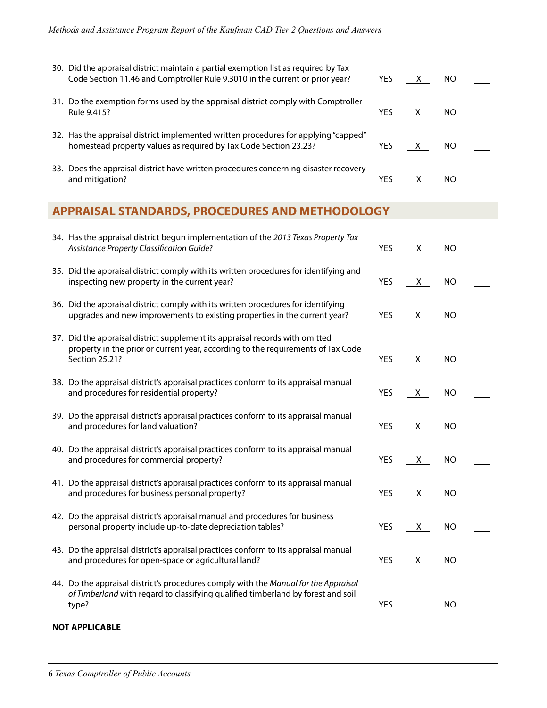| 30. Did the appraisal district maintain a partial exemption list as required by Tax<br>Code Section 11.46 and Comptroller Rule 9.3010 in the current or prior year?                | YES        | X.              | NO        |  |
|------------------------------------------------------------------------------------------------------------------------------------------------------------------------------------|------------|-----------------|-----------|--|
| 31. Do the exemption forms used by the appraisal district comply with Comptroller<br>Rule 9.415?                                                                                   | YES        | X,              | <b>NO</b> |  |
| 32. Has the appraisal district implemented written procedures for applying "capped"<br>homestead property values as required by Tax Code Section 23.23?                            | YES        | X.              | <b>NO</b> |  |
| 33. Does the appraisal district have written procedures concerning disaster recovery<br>and mitigation?                                                                            | YES        | <u>X</u>        | <b>NO</b> |  |
| <b>APPRAISAL STANDARDS, PROCEDURES AND METHODOLOGY</b>                                                                                                                             |            |                 |           |  |
| 34. Has the appraisal district begun implementation of the 2013 Texas Property Tax<br>Assistance Property Classification Guide?                                                    | YES        | X,              | <b>NO</b> |  |
| 35. Did the appraisal district comply with its written procedures for identifying and<br>inspecting new property in the current year?                                              | YES        | $X_{-}$         | <b>NO</b> |  |
| 36. Did the appraisal district comply with its written procedures for identifying<br>upgrades and new improvements to existing properties in the current year?                     | YES        | X,              | <b>NO</b> |  |
| 37. Did the appraisal district supplement its appraisal records with omitted<br>property in the prior or current year, according to the requirements of Tax Code<br>Section 25.21? | YES        | X,              | <b>NO</b> |  |
| 38. Do the appraisal district's appraisal practices conform to its appraisal manual<br>and procedures for residential property?                                                    | <b>YES</b> | $X_{-}$         | <b>NO</b> |  |
| 39. Do the appraisal district's appraisal practices conform to its appraisal manual<br>and procedures for land valuation?                                                          | <b>YES</b> | $X_{-}$         | <b>NO</b> |  |
| 40. Do the appraisal district's appraisal practices conform to its appraisal manual<br>and procedures for commercial property?                                                     | <b>YES</b> | $\underline{x}$ | <b>NO</b> |  |
| 41. Do the appraisal district's appraisal practices conform to its appraisal manual<br>and procedures for business personal property?                                              | YES        | $X_{-}$         | NO.       |  |
| 42. Do the appraisal district's appraisal manual and procedures for business<br>personal property include up-to-date depreciation tables?                                          | <b>YES</b> | $X_{-}$         | <b>NO</b> |  |
| 43. Do the appraisal district's appraisal practices conform to its appraisal manual<br>and procedures for open-space or agricultural land?                                         | YES        | <u>X</u>        | <b>NO</b> |  |
| 44. Do the appraisal district's procedures comply with the Manual for the Appraisal<br>of Timberland with regard to classifying qualified timberland by forest and soil<br>type?   | <b>YES</b> |                 | <b>NO</b> |  |

#### **NOT APPLICABLE**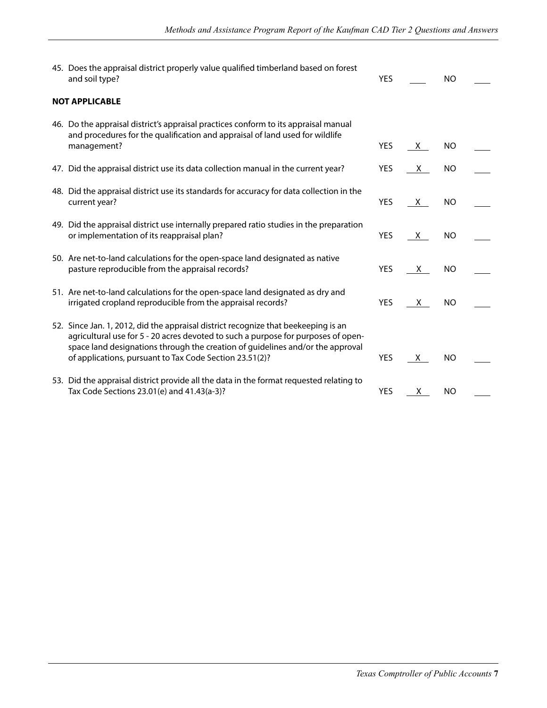| 45. Does the appraisal district properly value qualified timberland based on forest<br>and soil type?                                                                                                                                                                                                                | <b>YES</b> |    | <b>NO</b>      |  |
|----------------------------------------------------------------------------------------------------------------------------------------------------------------------------------------------------------------------------------------------------------------------------------------------------------------------|------------|----|----------------|--|
| <b>NOT APPLICABLE</b>                                                                                                                                                                                                                                                                                                |            |    |                |  |
| 46. Do the appraisal district's appraisal practices conform to its appraisal manual<br>and procedures for the qualification and appraisal of land used for wildlife<br>management?                                                                                                                                   | <b>YES</b> | X. | <b>NO</b>      |  |
|                                                                                                                                                                                                                                                                                                                      |            |    |                |  |
| 47. Did the appraisal district use its data collection manual in the current year?                                                                                                                                                                                                                                   | YES        | X. | NO             |  |
| 48. Did the appraisal district use its standards for accuracy for data collection in the<br>current year?                                                                                                                                                                                                            | <b>YES</b> | X. | <b>NO</b>      |  |
| 49. Did the appraisal district use internally prepared ratio studies in the preparation<br>or implementation of its reappraisal plan?                                                                                                                                                                                | <b>YES</b> | X. | <b>NO</b>      |  |
| 50. Are net-to-land calculations for the open-space land designated as native<br>pasture reproducible from the appraisal records?                                                                                                                                                                                    | <b>YES</b> | X. | <b>NO</b>      |  |
| 51. Are net-to-land calculations for the open-space land designated as dry and<br>irrigated cropland reproducible from the appraisal records?                                                                                                                                                                        | <b>YES</b> | X. | <b>NO</b>      |  |
| 52. Since Jan. 1, 2012, did the appraisal district recognize that beekeeping is an<br>agricultural use for 5 - 20 acres devoted to such a purpose for purposes of open-<br>space land designations through the creation of guidelines and/or the approval<br>of applications, pursuant to Tax Code Section 23.51(2)? | <b>YES</b> | X. | <b>NO</b>      |  |
| 53. Did the appraisal district provide all the data in the format requested relating to<br>Tax Code Sections 23.01(e) and 41.43(a-3)?                                                                                                                                                                                | <b>YES</b> | X. | N <sub>O</sub> |  |